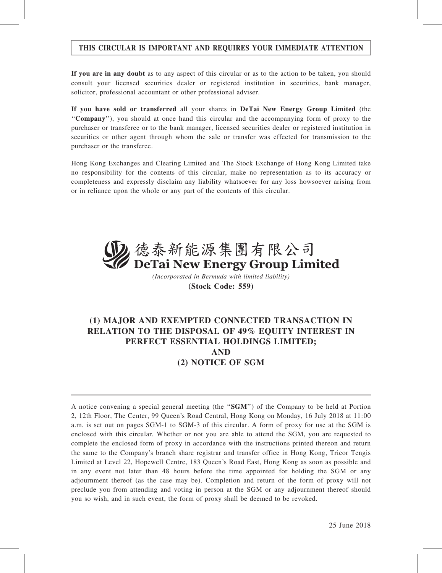## THIS CIRCULAR IS IMPORTANT AND REQUIRES YOUR IMMEDIATE ATTENTION

If you are in any doubt as to any aspect of this circular or as to the action to be taken, you should consult your licensed securities dealer or registered institution in securities, bank manager, solicitor, professional accountant or other professional adviser.

If you have sold or transferred all your shares in DeTai New Energy Group Limited (the ''Company''), you should at once hand this circular and the accompanying form of proxy to the purchaser or transferee or to the bank manager, licensed securities dealer or registered institution in securities or other agent through whom the sale or transfer was effected for transmission to the purchaser or the transferee.

Hong Kong Exchanges and Clearing Limited and The Stock Exchange of Hong Kong Limited take no responsibility for the contents of this circular, make no representation as to its accuracy or completeness and expressly disclaim any liability whatsoever for any loss howsoever arising from or in reliance upon the whole or any part of the contents of this circular.



(Incorporated in Bermuda with limited liability) (Stock Code: 559)

## (1) MAJOR AND EXEMPTED CONNECTED TRANSACTION IN RELATION TO THE DISPOSAL OF 49% EQUITY INTEREST IN PERFECT ESSENTIAL HOLDINGS LIMITED; AND (2) NOTICE OF SGM

A notice convening a special general meeting (the ''SGM'') of the Company to be held at Portion 2, 12th Floor, The Center, 99 Queen's Road Central, Hong Kong on Monday, 16 July 2018 at 11:00 a.m. is set out on pages SGM-1 to SGM-3 of this circular. A form of proxy for use at the SGM is enclosed with this circular. Whether or not you are able to attend the SGM, you are requested to complete the enclosed form of proxy in accordance with the instructions printed thereon and return the same to the Company's branch share registrar and transfer office in Hong Kong, Tricor Tengis Limited at Level 22, Hopewell Centre, 183 Queen's Road East, Hong Kong as soon as possible and in any event not later than 48 hours before the time appointed for holding the SGM or any adjournment thereof (as the case may be). Completion and return of the form of proxy will not preclude you from attending and voting in person at the SGM or any adjournment thereof should you so wish, and in such event, the form of proxy shall be deemed to be revoked.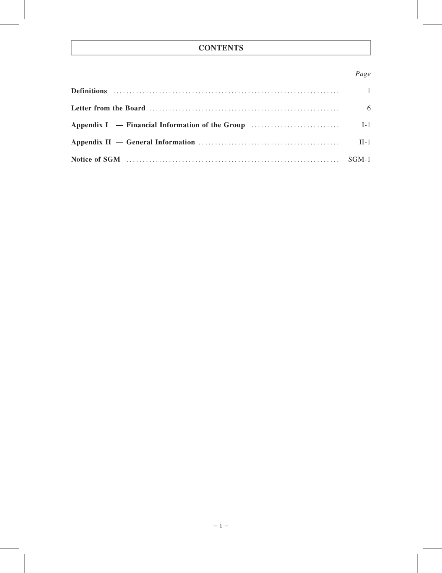## **CONTENTS**

## Page

| - 6 |
|-----|
|     |
|     |
|     |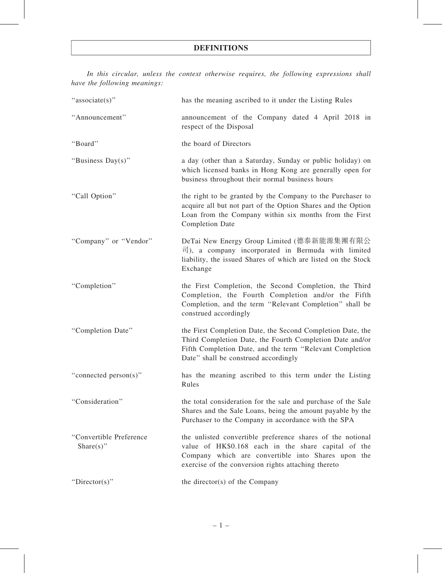In this circular, unless the context otherwise requires, the following expressions shall have the following meanings:

| "associate(s)"                           | has the meaning ascribed to it under the Listing Rules                                                                                                                                                                         |  |  |  |  |
|------------------------------------------|--------------------------------------------------------------------------------------------------------------------------------------------------------------------------------------------------------------------------------|--|--|--|--|
| "Announcement"                           | announcement of the Company dated 4 April 2018 in<br>respect of the Disposal                                                                                                                                                   |  |  |  |  |
| "Board"                                  | the board of Directors                                                                                                                                                                                                         |  |  |  |  |
| "Business Day(s)"                        | a day (other than a Saturday, Sunday or public holiday) on<br>which licensed banks in Hong Kong are generally open for<br>business throughout their normal business hours                                                      |  |  |  |  |
| "Call Option"                            | the right to be granted by the Company to the Purchaser to<br>acquire all but not part of the Option Shares and the Option<br>Loan from the Company within six months from the First<br><b>Completion Date</b>                 |  |  |  |  |
| "Company" or "Vendor"                    | DeTai New Energy Group Limited (德泰新能源集團有限公<br>$\overrightarrow{v}$ , a company incorporated in Bermuda with limited<br>liability, the issued Shares of which are listed on the Stock<br>Exchange                               |  |  |  |  |
| "Completion"                             | the First Completion, the Second Completion, the Third<br>Completion, the Fourth Completion and/or the Fifth<br>Completion, and the term "Relevant Completion" shall be<br>construed accordingly                               |  |  |  |  |
| "Completion Date"                        | the First Completion Date, the Second Completion Date, the<br>Third Completion Date, the Fourth Completion Date and/or<br>Fifth Completion Date, and the term "Relevant Completion<br>Date" shall be construed accordingly     |  |  |  |  |
| "connected person(s)"                    | has the meaning ascribed to this term under the Listing<br>Rules                                                                                                                                                               |  |  |  |  |
| "Consideration"                          | the total consideration for the sale and purchase of the Sale<br>Shares and the Sale Loans, being the amount payable by the<br>Purchaser to the Company in accordance with the SPA                                             |  |  |  |  |
| "Convertible Preference<br>Share $(s)$ " | the unlisted convertible preference shares of the notional<br>value of HK\$0.168 each in the share capital of the<br>Company which are convertible into Shares upon the<br>exercise of the conversion rights attaching thereto |  |  |  |  |
| "Director(s)"                            | the director(s) of the Company                                                                                                                                                                                                 |  |  |  |  |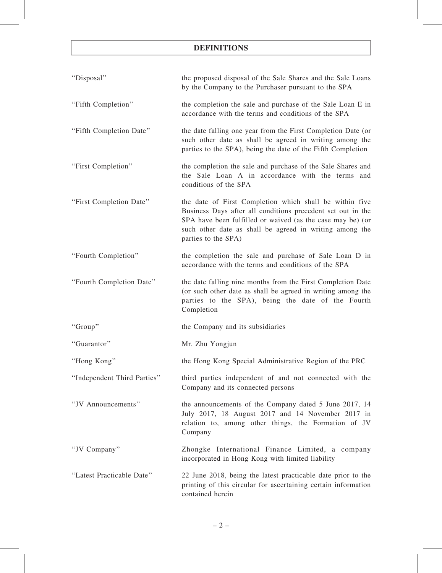| "Disposal"                  | the proposed disposal of the Sale Shares and the Sale Loans<br>by the Company to the Purchaser pursuant to the SPA                                                                                                                                                     |
|-----------------------------|------------------------------------------------------------------------------------------------------------------------------------------------------------------------------------------------------------------------------------------------------------------------|
| "Fifth Completion"          | the completion the sale and purchase of the Sale Loan E in<br>accordance with the terms and conditions of the SPA                                                                                                                                                      |
| "Fifth Completion Date"     | the date falling one year from the First Completion Date (or<br>such other date as shall be agreed in writing among the<br>parties to the SPA), being the date of the Fifth Completion                                                                                 |
| "First Completion"          | the completion the sale and purchase of the Sale Shares and<br>the Sale Loan A in accordance with the terms and<br>conditions of the SPA                                                                                                                               |
| "First Completion Date"     | the date of First Completion which shall be within five<br>Business Days after all conditions precedent set out in the<br>SPA have been fulfilled or waived (as the case may be) (or<br>such other date as shall be agreed in writing among the<br>parties to the SPA) |
| "Fourth Completion"         | the completion the sale and purchase of Sale Loan D in<br>accordance with the terms and conditions of the SPA                                                                                                                                                          |
| "Fourth Completion Date"    | the date falling nine months from the First Completion Date<br>(or such other date as shall be agreed in writing among the<br>parties to the SPA), being the date of the Fourth<br>Completion                                                                          |
| "Group"                     | the Company and its subsidiaries                                                                                                                                                                                                                                       |
| "Guarantor"                 | Mr. Zhu Yongjun                                                                                                                                                                                                                                                        |
| "Hong Kong"                 | the Hong Kong Special Administrative Region of the PRC                                                                                                                                                                                                                 |
| "Independent Third Parties" | third parties independent of and not connected with the<br>Company and its connected persons                                                                                                                                                                           |
| "JV Announcements"          | the announcements of the Company dated 5 June 2017, 14<br>July 2017, 18 August 2017 and 14 November 2017 in<br>relation to, among other things, the Formation of JV<br>Company                                                                                         |
| "JV Company"                | Zhongke International Finance Limited, a company<br>incorporated in Hong Kong with limited liability                                                                                                                                                                   |
| "Latest Practicable Date"   | 22 June 2018, being the latest practicable date prior to the<br>printing of this circular for ascertaining certain information<br>contained herein                                                                                                                     |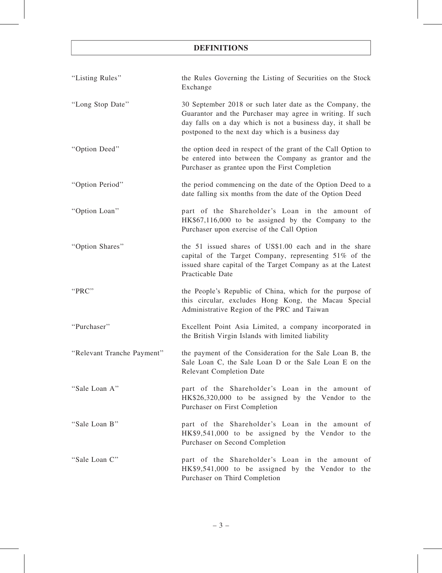| "Listing Rules"            | the Rules Governing the Listing of Securities on the Stock<br>Exchange                                                                                                                                                                    |  |  |  |  |
|----------------------------|-------------------------------------------------------------------------------------------------------------------------------------------------------------------------------------------------------------------------------------------|--|--|--|--|
| "Long Stop Date"           | 30 September 2018 or such later date as the Company, the<br>Guarantor and the Purchaser may agree in writing. If such<br>day falls on a day which is not a business day, it shall be<br>postponed to the next day which is a business day |  |  |  |  |
| "Option Deed"              | the option deed in respect of the grant of the Call Option to<br>be entered into between the Company as grantor and the<br>Purchaser as grantee upon the First Completion                                                                 |  |  |  |  |
| "Option Period"            | the period commencing on the date of the Option Deed to a<br>date falling six months from the date of the Option Deed                                                                                                                     |  |  |  |  |
| "Option Loan"              | part of the Shareholder's Loan in the amount of<br>HK\$67,116,000 to be assigned by the Company to the<br>Purchaser upon exercise of the Call Option                                                                                      |  |  |  |  |
| "Option Shares"            | the 51 issued shares of US\$1.00 each and in the share<br>capital of the Target Company, representing 51% of the<br>issued share capital of the Target Company as at the Latest<br>Practicable Date                                       |  |  |  |  |
| "PRC"                      | the People's Republic of China, which for the purpose of<br>this circular, excludes Hong Kong, the Macau Special<br>Administrative Region of the PRC and Taiwan                                                                           |  |  |  |  |
| "Purchaser"                | Excellent Point Asia Limited, a company incorporated in<br>the British Virgin Islands with limited liability                                                                                                                              |  |  |  |  |
| "Relevant Tranche Payment" | the payment of the Consideration for the Sale Loan B, the<br>Sale Loan C, the Sale Loan D or the Sale Loan E on the<br><b>Relevant Completion Date</b>                                                                                    |  |  |  |  |
| "Sale Loan A"              | part of the Shareholder's Loan in the amount of<br>HK\$26,320,000 to be assigned by the Vendor to the<br>Purchaser on First Completion                                                                                                    |  |  |  |  |
| "Sale Loan B"              | part of the Shareholder's Loan in the amount of<br>HK\$9,541,000 to be assigned by the Vendor to the<br>Purchaser on Second Completion                                                                                                    |  |  |  |  |
| "Sale Loan C"              | part of the Shareholder's Loan in the amount of<br>HK\$9,541,000 to be assigned by the Vendor to the<br>Purchaser on Third Completion                                                                                                     |  |  |  |  |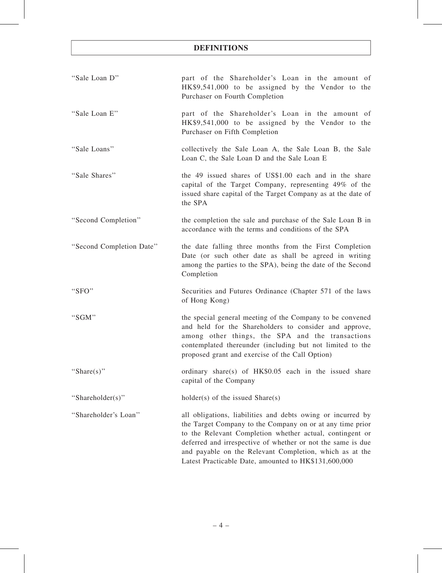| "Sale Loan D"            | part of the Shareholder's Loan in the amount of<br>HK\$9,541,000 to be assigned by the Vendor to the<br>Purchaser on Fourth Completion                                                                                                                                                                                                                                 |  |  |  |
|--------------------------|------------------------------------------------------------------------------------------------------------------------------------------------------------------------------------------------------------------------------------------------------------------------------------------------------------------------------------------------------------------------|--|--|--|
| "Sale Loan E"            | part of the Shareholder's Loan in the amount of<br>HK\$9,541,000 to be assigned by the Vendor to the<br>Purchaser on Fifth Completion                                                                                                                                                                                                                                  |  |  |  |
| "Sale Loans"             | collectively the Sale Loan A, the Sale Loan B, the Sale<br>Loan C, the Sale Loan D and the Sale Loan E                                                                                                                                                                                                                                                                 |  |  |  |
| "Sale Shares"            | the 49 issued shares of US\$1.00 each and in the share<br>capital of the Target Company, representing 49% of the<br>issued share capital of the Target Company as at the date of<br>the SPA                                                                                                                                                                            |  |  |  |
| "Second Completion"      | the completion the sale and purchase of the Sale Loan B in<br>accordance with the terms and conditions of the SPA                                                                                                                                                                                                                                                      |  |  |  |
| "Second Completion Date" | the date falling three months from the First Completion<br>Date (or such other date as shall be agreed in writing<br>among the parties to the SPA), being the date of the Second<br>Completion                                                                                                                                                                         |  |  |  |
| " $SFO"$                 | Securities and Futures Ordinance (Chapter 571 of the laws<br>of Hong Kong)                                                                                                                                                                                                                                                                                             |  |  |  |
| "SGM"                    | the special general meeting of the Company to be convened<br>and held for the Shareholders to consider and approve,<br>among other things, the SPA and the transactions<br>contemplated thereunder (including but not limited to the<br>proposed grant and exercise of the Call Option)                                                                                |  |  |  |
| "Share(s)"               | ordinary share(s) of HK\$0.05 each in the issued share<br>capital of the Company                                                                                                                                                                                                                                                                                       |  |  |  |
| "Shareholder(s)"         | $holder(s)$ of the issued Share $(s)$                                                                                                                                                                                                                                                                                                                                  |  |  |  |
| "Shareholder's Loan"     | all obligations, liabilities and debts owing or incurred by<br>the Target Company to the Company on or at any time prior<br>to the Relevant Completion whether actual, contingent or<br>deferred and irrespective of whether or not the same is due<br>and payable on the Relevant Completion, which as at the<br>Latest Practicable Date, amounted to HK\$131,600,000 |  |  |  |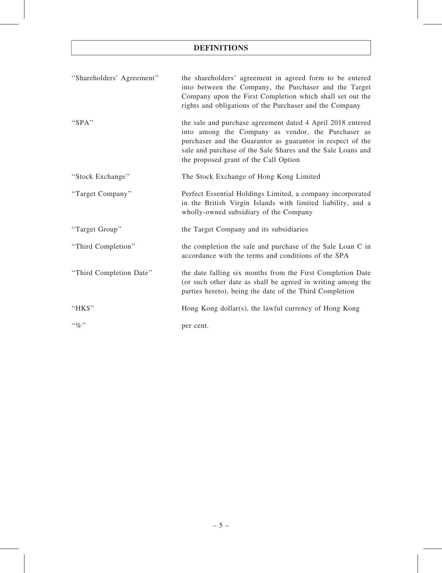| "Shareholders' Agreement" | the shareholders' agreement in agreed form to be entered<br>into between the Company, the Purchaser and the Target<br>Company upon the First Completion which shall set out the<br>rights and obligations of the Purchaser and the Company                                             |
|---------------------------|----------------------------------------------------------------------------------------------------------------------------------------------------------------------------------------------------------------------------------------------------------------------------------------|
| "SPA"                     | the sale and purchase agreement dated 4 April 2018 entered<br>into among the Company as vendor, the Purchaser as<br>purchaser and the Guarantor as guarantor in respect of the<br>sale and purchase of the Sale Shares and the Sale Loans and<br>the proposed grant of the Call Option |
| "Stock Exchange"          | The Stock Exchange of Hong Kong Limited                                                                                                                                                                                                                                                |
| "Target Company"          | Perfect Essential Holdings Limited, a company incorporated<br>in the British Virgin Islands with limited liability, and a<br>wholly-owned subsidiary of the Company                                                                                                                    |
| "Target Group"            | the Target Company and its subsidiaries                                                                                                                                                                                                                                                |
| "Third Completion"        | the completion the sale and purchase of the Sale Loan C in<br>accordance with the terms and conditions of the SPA                                                                                                                                                                      |
| "Third Completion Date"   | the date falling six months from the First Completion Date<br>(or such other date as shall be agreed in writing among the<br>parties hereto), being the date of the Third Completion                                                                                                   |
| "HK\$"                    | Hong Kong dollar(s), the lawful currency of Hong Kong                                                                                                                                                                                                                                  |
| $``q_0"$                  | per cent.                                                                                                                                                                                                                                                                              |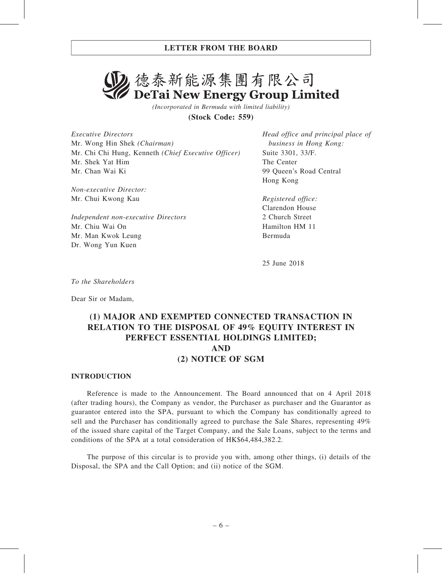# 2. 德泰新能源集團有限公司 DeTai New Energy Group Limited

(Incorporated in Bermuda with limited liability)

(Stock Code: 559)

Executive Directors Mr. Wong Hin Shek (Chairman) Mr. Chi Chi Hung, Kenneth (Chief Executive Officer) Mr. Shek Yat Him Mr. Chan Wai Ki

Non-executive Director: Mr. Chui Kwong Kau

Independent non-executive Directors Mr. Chiu Wai On Mr. Man Kwok Leung Dr. Wong Yun Kuen

Head office and principal place of business in Hong Kong: Suite 3301, 33/F. The Center 99 Queen's Road Central Hong Kong

Registered office: Clarendon House 2 Church Street Hamilton HM 11 Bermuda

25 June 2018

To the Shareholders

Dear Sir or Madam,

## (1) MAJOR AND EXEMPTED CONNECTED TRANSACTION IN RELATION TO THE DISPOSAL OF 49% EQUITY INTEREST IN PERFECT ESSENTIAL HOLDINGS LIMITED; AND (2) NOTICE OF SGM

## INTRODUCTION

Reference is made to the Announcement. The Board announced that on 4 April 2018 (after trading hours), the Company as vendor, the Purchaser as purchaser and the Guarantor as guarantor entered into the SPA, pursuant to which the Company has conditionally agreed to sell and the Purchaser has conditionally agreed to purchase the Sale Shares, representing 49% of the issued share capital of the Target Company, and the Sale Loans, subject to the terms and conditions of the SPA at a total consideration of HK\$64,484,382.2.

The purpose of this circular is to provide you with, among other things, (i) details of the Disposal, the SPA and the Call Option; and (ii) notice of the SGM.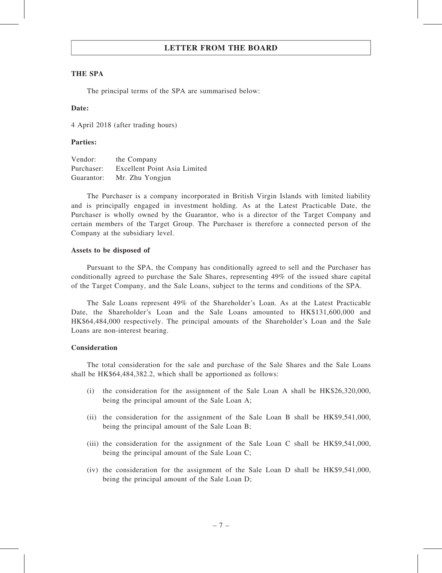### THE SPA

The principal terms of the SPA are summarised below:

#### Date:

4 April 2018 (after trading hours)

#### Parties:

| Vendor:    | the Company                  |
|------------|------------------------------|
| Purchaser: | Excellent Point Asia Limited |
| Guarantor: | Mr. Zhu Yongjun              |

The Purchaser is a company incorporated in British Virgin Islands with limited liability and is principally engaged in investment holding. As at the Latest Practicable Date, the Purchaser is wholly owned by the Guarantor, who is a director of the Target Company and certain members of the Target Group. The Purchaser is therefore a connected person of the Company at the subsidiary level.

#### Assets to be disposed of

Pursuant to the SPA, the Company has conditionally agreed to sell and the Purchaser has conditionally agreed to purchase the Sale Shares, representing 49% of the issued share capital of the Target Company, and the Sale Loans, subject to the terms and conditions of the SPA.

The Sale Loans represent 49% of the Shareholder's Loan. As at the Latest Practicable Date, the Shareholder's Loan and the Sale Loans amounted to HK\$131,600,000 and HK\$64,484,000 respectively. The principal amounts of the Shareholder's Loan and the Sale Loans are non-interest bearing.

## Consideration

The total consideration for the sale and purchase of the Sale Shares and the Sale Loans shall be HK\$64,484,382.2, which shall be apportioned as follows:

- (i) the consideration for the assignment of the Sale Loan A shall be HK\$26,320,000, being the principal amount of the Sale Loan A;
- (ii) the consideration for the assignment of the Sale Loan B shall be HK\$9,541,000, being the principal amount of the Sale Loan B;
- (iii) the consideration for the assignment of the Sale Loan C shall be HK\$9,541,000, being the principal amount of the Sale Loan C;
- (iv) the consideration for the assignment of the Sale Loan D shall be HK\$9,541,000, being the principal amount of the Sale Loan D;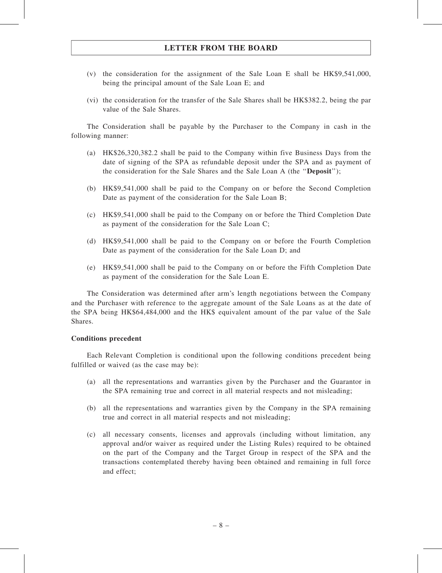- (v) the consideration for the assignment of the Sale Loan E shall be HK\$9,541,000, being the principal amount of the Sale Loan E; and
- (vi) the consideration for the transfer of the Sale Shares shall be HK\$382.2, being the par value of the Sale Shares.

The Consideration shall be payable by the Purchaser to the Company in cash in the following manner:

- (a) HK\$26,320,382.2 shall be paid to the Company within five Business Days from the date of signing of the SPA as refundable deposit under the SPA and as payment of the consideration for the Sale Shares and the Sale Loan A (the ''Deposit'');
- (b) HK\$9,541,000 shall be paid to the Company on or before the Second Completion Date as payment of the consideration for the Sale Loan B;
- (c) HK\$9,541,000 shall be paid to the Company on or before the Third Completion Date as payment of the consideration for the Sale Loan C;
- (d) HK\$9,541,000 shall be paid to the Company on or before the Fourth Completion Date as payment of the consideration for the Sale Loan D; and
- (e) HK\$9,541,000 shall be paid to the Company on or before the Fifth Completion Date as payment of the consideration for the Sale Loan E.

The Consideration was determined after arm's length negotiations between the Company and the Purchaser with reference to the aggregate amount of the Sale Loans as at the date of the SPA being HK\$64,484,000 and the HK\$ equivalent amount of the par value of the Sale Shares.

## Conditions precedent

Each Relevant Completion is conditional upon the following conditions precedent being fulfilled or waived (as the case may be):

- (a) all the representations and warranties given by the Purchaser and the Guarantor in the SPA remaining true and correct in all material respects and not misleading;
- (b) all the representations and warranties given by the Company in the SPA remaining true and correct in all material respects and not misleading;
- (c) all necessary consents, licenses and approvals (including without limitation, any approval and/or waiver as required under the Listing Rules) required to be obtained on the part of the Company and the Target Group in respect of the SPA and the transactions contemplated thereby having been obtained and remaining in full force and effect;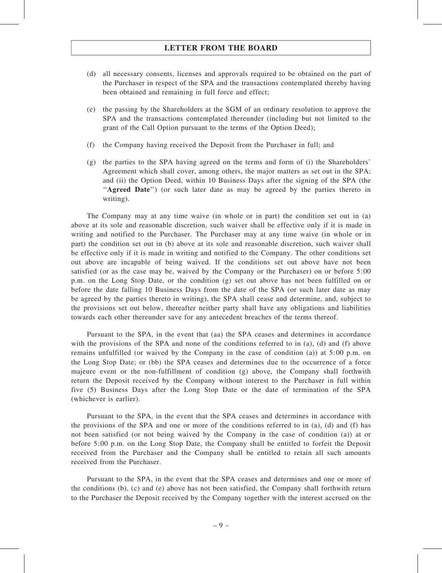- (d) all necessary consents, licenses and approvals required to be obtained on the part of the Purchaser in respect of the SPA and the transactions contemplated thereby having been obtained and remaining in full force and effect;
- (e) the passing by the Shareholders at the SGM of an ordinary resolution to approve the SPA and the transactions contemplated thereunder (including but not limited to the grant of the Call Option pursuant to the terms of the Option Deed);
- (f) the Company having received the Deposit from the Purchaser in full; and
- (g) the parties to the SPA having agreed on the terms and form of (i) the Shareholders' Agreement which shall cover, among others, the major matters as set out in the SPA; and (ii) the Option Deed, within 10 Business Days after the signing of the SPA (the "Agreed Date") (or such later date as may be agreed by the parties thereto in writing).

The Company may at any time waive (in whole or in part) the condition set out in (a) above at its sole and reasonable discretion, such waiver shall be effective only if it is made in writing and notified to the Purchaser. The Purchaser may at any time waive (in whole or in part) the condition set out in (b) above at its sole and reasonable discretion, such waiver shall be effective only if it is made in writing and notified to the Company. The other conditions set out above are incapable of being waived. If the conditions set out above have not been satisfied (or as the case may be, waived by the Company or the Purchaser) on or before 5:00 p.m. on the Long Stop Date, or the condition (g) set out above has not been fulfilled on or before the date falling 10 Business Days from the date of the SPA (or such later date as may be agreed by the parties thereto in writing), the SPA shall cease and determine, and, subject to the provisions set out below, thereafter neither party shall have any obligations and liabilities towards each other thereunder save for any antecedent breaches of the terms thereof.

Pursuant to the SPA, in the event that (aa) the SPA ceases and determines in accordance with the provisions of the SPA and none of the conditions referred to in (a), (d) and (f) above remains unfulfilled (or waived by the Company in the case of condition (a)) at 5:00 p.m. on the Long Stop Date; or (bb) the SPA ceases and determines due to the occurrence of a force majeure event or the non-fulfillment of condition (g) above, the Company shall forthwith return the Deposit received by the Company without interest to the Purchaser in full within five (5) Business Days after the Long Stop Date or the date of termination of the SPA (whichever is earlier).

Pursuant to the SPA, in the event that the SPA ceases and determines in accordance with the provisions of the SPA and one or more of the conditions referred to in (a), (d) and (f) has not been satisfied (or not being waived by the Company in the case of condition (a)) at or before 5:00 p.m. on the Long Stop Date, the Company shall be entitled to forfeit the Deposit received from the Purchaser and the Company shall be entitled to retain all such amounts received from the Purchaser.

Pursuant to the SPA, in the event that the SPA ceases and determines and one or more of the conditions (b), (c) and (e) above has not been satisfied, the Company shall forthwith return to the Purchaser the Deposit received by the Company together with the interest accrued on the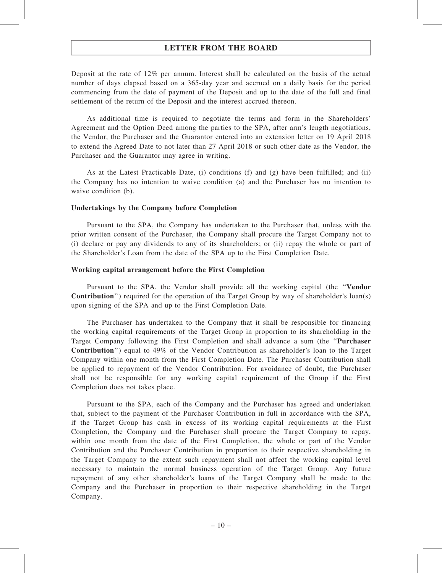Deposit at the rate of 12% per annum. Interest shall be calculated on the basis of the actual number of days elapsed based on a 365-day year and accrued on a daily basis for the period commencing from the date of payment of the Deposit and up to the date of the full and final settlement of the return of the Deposit and the interest accrued thereon.

As additional time is required to negotiate the terms and form in the Shareholders' Agreement and the Option Deed among the parties to the SPA, after arm's length negotiations, the Vendor, the Purchaser and the Guarantor entered into an extension letter on 19 April 2018 to extend the Agreed Date to not later than 27 April 2018 or such other date as the Vendor, the Purchaser and the Guarantor may agree in writing.

As at the Latest Practicable Date, (i) conditions (f) and  $(g)$  have been fulfilled; and (ii) the Company has no intention to waive condition (a) and the Purchaser has no intention to waive condition (b).

#### Undertakings by the Company before Completion

Pursuant to the SPA, the Company has undertaken to the Purchaser that, unless with the prior written consent of the Purchaser, the Company shall procure the Target Company not to (i) declare or pay any dividends to any of its shareholders; or (ii) repay the whole or part of the Shareholder's Loan from the date of the SPA up to the First Completion Date.

#### Working capital arrangement before the First Completion

Pursuant to the SPA, the Vendor shall provide all the working capital (the ''Vendor Contribution'') required for the operation of the Target Group by way of shareholder's loan(s) upon signing of the SPA and up to the First Completion Date.

The Purchaser has undertaken to the Company that it shall be responsible for financing the working capital requirements of the Target Group in proportion to its shareholding in the Target Company following the First Completion and shall advance a sum (the ''Purchaser Contribution'') equal to 49% of the Vendor Contribution as shareholder's loan to the Target Company within one month from the First Completion Date. The Purchaser Contribution shall be applied to repayment of the Vendor Contribution. For avoidance of doubt, the Purchaser shall not be responsible for any working capital requirement of the Group if the First Completion does not takes place.

Pursuant to the SPA, each of the Company and the Purchaser has agreed and undertaken that, subject to the payment of the Purchaser Contribution in full in accordance with the SPA, if the Target Group has cash in excess of its working capital requirements at the First Completion, the Company and the Purchaser shall procure the Target Company to repay, within one month from the date of the First Completion, the whole or part of the Vendor Contribution and the Purchaser Contribution in proportion to their respective shareholding in the Target Company to the extent such repayment shall not affect the working capital level necessary to maintain the normal business operation of the Target Group. Any future repayment of any other shareholder's loans of the Target Company shall be made to the Company and the Purchaser in proportion to their respective shareholding in the Target Company.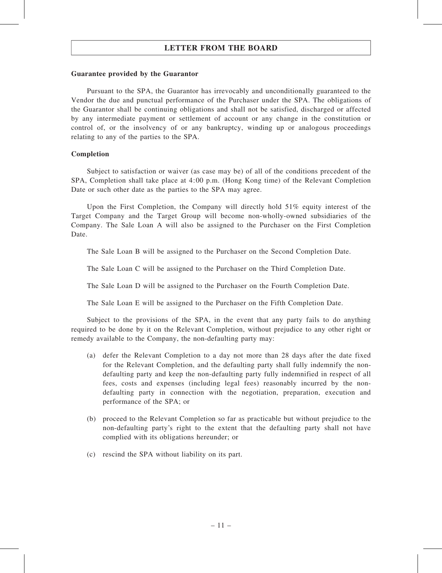### Guarantee provided by the Guarantor

Pursuant to the SPA, the Guarantor has irrevocably and unconditionally guaranteed to the Vendor the due and punctual performance of the Purchaser under the SPA. The obligations of the Guarantor shall be continuing obligations and shall not be satisfied, discharged or affected by any intermediate payment or settlement of account or any change in the constitution or control of, or the insolvency of or any bankruptcy, winding up or analogous proceedings relating to any of the parties to the SPA.

## Completion

Subject to satisfaction or waiver (as case may be) of all of the conditions precedent of the SPA, Completion shall take place at 4:00 p.m. (Hong Kong time) of the Relevant Completion Date or such other date as the parties to the SPA may agree.

Upon the First Completion, the Company will directly hold  $51\%$  equity interest of the Target Company and the Target Group will become non-wholly-owned subsidiaries of the Company. The Sale Loan A will also be assigned to the Purchaser on the First Completion Date.

The Sale Loan B will be assigned to the Purchaser on the Second Completion Date.

The Sale Loan C will be assigned to the Purchaser on the Third Completion Date.

The Sale Loan D will be assigned to the Purchaser on the Fourth Completion Date.

The Sale Loan E will be assigned to the Purchaser on the Fifth Completion Date.

Subject to the provisions of the SPA, in the event that any party fails to do anything required to be done by it on the Relevant Completion, without prejudice to any other right or remedy available to the Company, the non-defaulting party may:

- (a) defer the Relevant Completion to a day not more than 28 days after the date fixed for the Relevant Completion, and the defaulting party shall fully indemnify the nondefaulting party and keep the non-defaulting party fully indemnified in respect of all fees, costs and expenses (including legal fees) reasonably incurred by the nondefaulting party in connection with the negotiation, preparation, execution and performance of the SPA; or
- (b) proceed to the Relevant Completion so far as practicable but without prejudice to the non-defaulting party's right to the extent that the defaulting party shall not have complied with its obligations hereunder; or
- (c) rescind the SPA without liability on its part.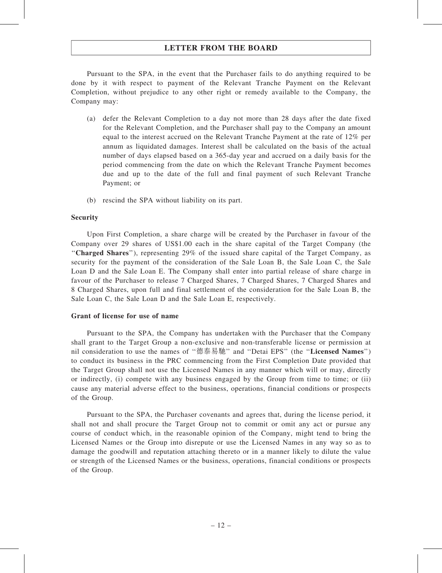Pursuant to the SPA, in the event that the Purchaser fails to do anything required to be done by it with respect to payment of the Relevant Tranche Payment on the Relevant Completion, without prejudice to any other right or remedy available to the Company, the Company may:

- (a) defer the Relevant Completion to a day not more than 28 days after the date fixed for the Relevant Completion, and the Purchaser shall pay to the Company an amount equal to the interest accrued on the Relevant Tranche Payment at the rate of 12% per annum as liquidated damages. Interest shall be calculated on the basis of the actual number of days elapsed based on a 365-day year and accrued on a daily basis for the period commencing from the date on which the Relevant Tranche Payment becomes due and up to the date of the full and final payment of such Relevant Tranche Payment; or
- (b) rescind the SPA without liability on its part.

### Security

Upon First Completion, a share charge will be created by the Purchaser in favour of the Company over 29 shares of US\$1.00 each in the share capital of the Target Company (the "Charged Shares"), representing 29% of the issued share capital of the Target Company, as security for the payment of the consideration of the Sale Loan B, the Sale Loan C, the Sale Loan D and the Sale Loan E. The Company shall enter into partial release of share charge in favour of the Purchaser to release 7 Charged Shares, 7 Charged Shares, 7 Charged Shares and 8 Charged Shares, upon full and final settlement of the consideration for the Sale Loan B, the Sale Loan C, the Sale Loan D and the Sale Loan E, respectively.

## Grant of license for use of name

Pursuant to the SPA, the Company has undertaken with the Purchaser that the Company shall grant to the Target Group a non-exclusive and non-transferable license or permission at nil consideration to use the names of ''德泰易馳'' and ''Detai EPS'' (the ''Licensed Names'') to conduct its business in the PRC commencing from the First Completion Date provided that the Target Group shall not use the Licensed Names in any manner which will or may, directly or indirectly, (i) compete with any business engaged by the Group from time to time; or (ii) cause any material adverse effect to the business, operations, financial conditions or prospects of the Group.

Pursuant to the SPA, the Purchaser covenants and agrees that, during the license period, it shall not and shall procure the Target Group not to commit or omit any act or pursue any course of conduct which, in the reasonable opinion of the Company, might tend to bring the Licensed Names or the Group into disrepute or use the Licensed Names in any way so as to damage the goodwill and reputation attaching thereto or in a manner likely to dilute the value or strength of the Licensed Names or the business, operations, financial conditions or prospects of the Group.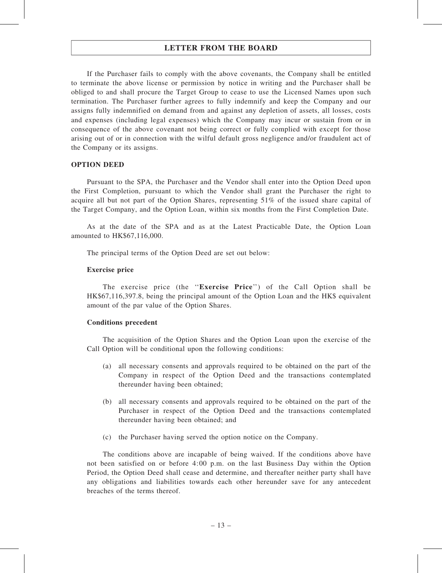If the Purchaser fails to comply with the above covenants, the Company shall be entitled to terminate the above license or permission by notice in writing and the Purchaser shall be obliged to and shall procure the Target Group to cease to use the Licensed Names upon such termination. The Purchaser further agrees to fully indemnify and keep the Company and our assigns fully indemnified on demand from and against any depletion of assets, all losses, costs and expenses (including legal expenses) which the Company may incur or sustain from or in consequence of the above covenant not being correct or fully complied with except for those arising out of or in connection with the wilful default gross negligence and/or fraudulent act of the Company or its assigns.

#### OPTION DEED

Pursuant to the SPA, the Purchaser and the Vendor shall enter into the Option Deed upon the First Completion, pursuant to which the Vendor shall grant the Purchaser the right to acquire all but not part of the Option Shares, representing 51% of the issued share capital of the Target Company, and the Option Loan, within six months from the First Completion Date.

As at the date of the SPA and as at the Latest Practicable Date, the Option Loan amounted to HK\$67,116,000.

The principal terms of the Option Deed are set out below:

### Exercise price

The exercise price (the ''Exercise Price'') of the Call Option shall be HK\$67,116,397.8, being the principal amount of the Option Loan and the HK\$ equivalent amount of the par value of the Option Shares.

#### Conditions precedent

The acquisition of the Option Shares and the Option Loan upon the exercise of the Call Option will be conditional upon the following conditions:

- (a) all necessary consents and approvals required to be obtained on the part of the Company in respect of the Option Deed and the transactions contemplated thereunder having been obtained;
- (b) all necessary consents and approvals required to be obtained on the part of the Purchaser in respect of the Option Deed and the transactions contemplated thereunder having been obtained; and
- (c) the Purchaser having served the option notice on the Company.

The conditions above are incapable of being waived. If the conditions above have not been satisfied on or before 4:00 p.m. on the last Business Day within the Option Period, the Option Deed shall cease and determine, and thereafter neither party shall have any obligations and liabilities towards each other hereunder save for any antecedent breaches of the terms thereof.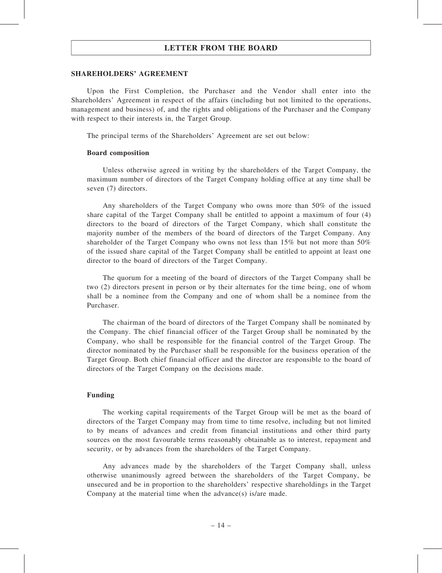#### SHAREHOLDERS' AGREEMENT

Upon the First Completion, the Purchaser and the Vendor shall enter into the Shareholders' Agreement in respect of the affairs (including but not limited to the operations, management and business) of, and the rights and obligations of the Purchaser and the Company with respect to their interests in, the Target Group.

The principal terms of the Shareholders' Agreement are set out below:

#### Board composition

Unless otherwise agreed in writing by the shareholders of the Target Company, the maximum number of directors of the Target Company holding office at any time shall be seven (7) directors.

Any shareholders of the Target Company who owns more than 50% of the issued share capital of the Target Company shall be entitled to appoint a maximum of four (4) directors to the board of directors of the Target Company, which shall constitute the majority number of the members of the board of directors of the Target Company. Any shareholder of the Target Company who owns not less than 15% but not more than 50% of the issued share capital of the Target Company shall be entitled to appoint at least one director to the board of directors of the Target Company.

The quorum for a meeting of the board of directors of the Target Company shall be two (2) directors present in person or by their alternates for the time being, one of whom shall be a nominee from the Company and one of whom shall be a nominee from the Purchaser.

The chairman of the board of directors of the Target Company shall be nominated by the Company. The chief financial officer of the Target Group shall be nominated by the Company, who shall be responsible for the financial control of the Target Group. The director nominated by the Purchaser shall be responsible for the business operation of the Target Group. Both chief financial officer and the director are responsible to the board of directors of the Target Company on the decisions made.

#### Funding

The working capital requirements of the Target Group will be met as the board of directors of the Target Company may from time to time resolve, including but not limited to by means of advances and credit from financial institutions and other third party sources on the most favourable terms reasonably obtainable as to interest, repayment and security, or by advances from the shareholders of the Target Company.

Any advances made by the shareholders of the Target Company shall, unless otherwise unanimously agreed between the shareholders of the Target Company, be unsecured and be in proportion to the shareholders' respective shareholdings in the Target Company at the material time when the advance(s) is/are made.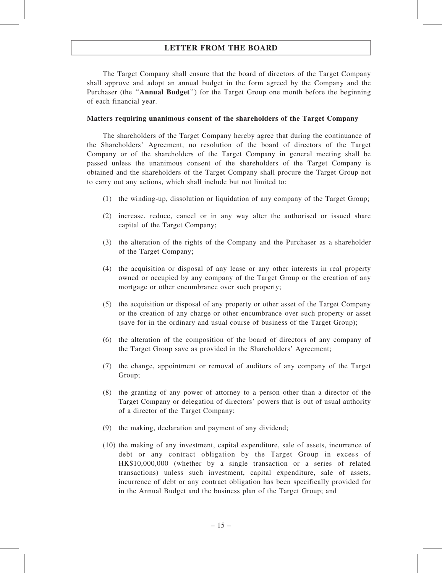The Target Company shall ensure that the board of directors of the Target Company shall approve and adopt an annual budget in the form agreed by the Company and the Purchaser (the ''Annual Budget'') for the Target Group one month before the beginning of each financial year.

#### Matters requiring unanimous consent of the shareholders of the Target Company

The shareholders of the Target Company hereby agree that during the continuance of the Shareholders' Agreement, no resolution of the board of directors of the Target Company or of the shareholders of the Target Company in general meeting shall be passed unless the unanimous consent of the shareholders of the Target Company is obtained and the shareholders of the Target Company shall procure the Target Group not to carry out any actions, which shall include but not limited to:

- (1) the winding-up, dissolution or liquidation of any company of the Target Group;
- (2) increase, reduce, cancel or in any way alter the authorised or issued share capital of the Target Company;
- (3) the alteration of the rights of the Company and the Purchaser as a shareholder of the Target Company;
- (4) the acquisition or disposal of any lease or any other interests in real property owned or occupied by any company of the Target Group or the creation of any mortgage or other encumbrance over such property;
- (5) the acquisition or disposal of any property or other asset of the Target Company or the creation of any charge or other encumbrance over such property or asset (save for in the ordinary and usual course of business of the Target Group);
- (6) the alteration of the composition of the board of directors of any company of the Target Group save as provided in the Shareholders' Agreement;
- (7) the change, appointment or removal of auditors of any company of the Target Group;
- (8) the granting of any power of attorney to a person other than a director of the Target Company or delegation of directors' powers that is out of usual authority of a director of the Target Company;
- (9) the making, declaration and payment of any dividend;
- (10) the making of any investment, capital expenditure, sale of assets, incurrence of debt or any contract obligation by the Target Group in excess of HK\$10,000,000 (whether by a single transaction or a series of related transactions) unless such investment, capital expenditure, sale of assets, incurrence of debt or any contract obligation has been specifically provided for in the Annual Budget and the business plan of the Target Group; and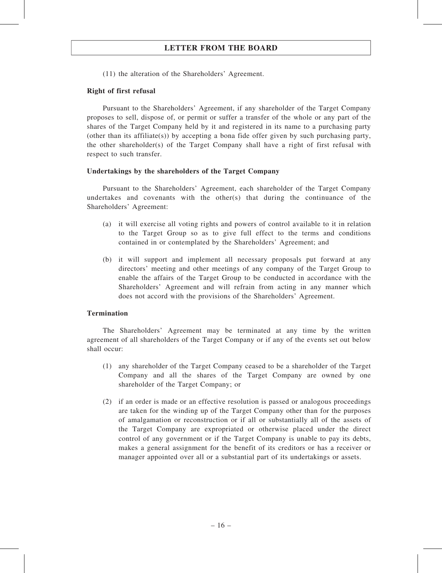(11) the alteration of the Shareholders' Agreement.

## Right of first refusal

Pursuant to the Shareholders' Agreement, if any shareholder of the Target Company proposes to sell, dispose of, or permit or suffer a transfer of the whole or any part of the shares of the Target Company held by it and registered in its name to a purchasing party (other than its affiliate(s)) by accepting a bona fide offer given by such purchasing party, the other shareholder(s) of the Target Company shall have a right of first refusal with respect to such transfer.

### Undertakings by the shareholders of the Target Company

Pursuant to the Shareholders' Agreement, each shareholder of the Target Company undertakes and covenants with the other(s) that during the continuance of the Shareholders' Agreement:

- (a) it will exercise all voting rights and powers of control available to it in relation to the Target Group so as to give full effect to the terms and conditions contained in or contemplated by the Shareholders' Agreement; and
- (b) it will support and implement all necessary proposals put forward at any directors' meeting and other meetings of any company of the Target Group to enable the affairs of the Target Group to be conducted in accordance with the Shareholders' Agreement and will refrain from acting in any manner which does not accord with the provisions of the Shareholders' Agreement.

## Termination

The Shareholders' Agreement may be terminated at any time by the written agreement of all shareholders of the Target Company or if any of the events set out below shall occur:

- (1) any shareholder of the Target Company ceased to be a shareholder of the Target Company and all the shares of the Target Company are owned by one shareholder of the Target Company; or
- (2) if an order is made or an effective resolution is passed or analogous proceedings are taken for the winding up of the Target Company other than for the purposes of amalgamation or reconstruction or if all or substantially all of the assets of the Target Company are expropriated or otherwise placed under the direct control of any government or if the Target Company is unable to pay its debts, makes a general assignment for the benefit of its creditors or has a receiver or manager appointed over all or a substantial part of its undertakings or assets.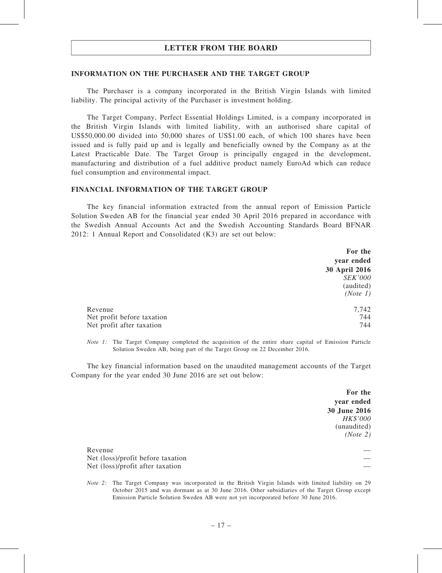#### INFORMATION ON THE PURCHASER AND THE TARGET GROUP

The Purchaser is a company incorporated in the British Virgin Islands with limited liability. The principal activity of the Purchaser is investment holding.

The Target Company, Perfect Essential Holdings Limited, is a company incorporated in the British Virgin Islands with limited liability, with an authorised share capital of US\$50,000.00 divided into 50,000 shares of US\$1.00 each, of which 100 shares have been issued and is fully paid up and is legally and beneficially owned by the Company as at the Latest Practicable Date. The Target Group is principally engaged in the development, manufacturing and distribution of a fuel additive product namely EuroAd which can reduce fuel consumption and environmental impact.

#### FINANCIAL INFORMATION OF THE TARGET GROUP

The key financial information extracted from the annual report of Emission Particle Solution Sweden AB for the financial year ended 30 April 2016 prepared in accordance with the Swedish Annual Accounts Act and the Swedish Accounting Standards Board BFNAR 2012: 1 Annual Report and Consolidated (K3) are set out below:

|                            | For the              |
|----------------------------|----------------------|
|                            | year ended           |
|                            | <b>30 April 2016</b> |
|                            | <i>SEK'000</i>       |
|                            | (audited)            |
|                            | (Note 1)             |
| Revenue                    | 7,742                |
| Net profit before taxation | 744                  |
| Net profit after taxation  | 744                  |

Note 1: The Target Company completed the acquisition of the entire share capital of Emission Particle Solution Sweden AB, being part of the Target Group on 22 December 2016.

The key financial information based on the unaudited management accounts of the Target Company for the year ended 30 June 2016 are set out below:

> For the year ended 30 June 2016 HK\$'000 (unaudited) (Note 2)

Revenue — Net (loss)/profit before taxation Net (loss)/profit after taxation

Note 2: The Target Company was incorporated in the British Virgin Islands with limited liability on 29 October 2015 and was dormant as at 30 June 2016. Other subsidiaries of the Target Group except Emission Particle Solution Sweden AB were not yet incorporated before 30 June 2016.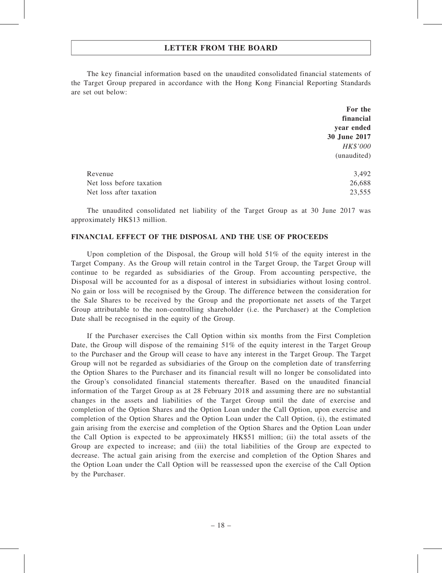The key financial information based on the unaudited consolidated financial statements of the Target Group prepared in accordance with the Hong Kong Financial Reporting Standards are set out below:

|                          | For the      |
|--------------------------|--------------|
|                          | financial    |
|                          | year ended   |
|                          | 30 June 2017 |
|                          | HK\$'000     |
|                          | (unaudited)  |
| Revenue                  | 3,492        |
| Net loss before taxation | 26,688       |
| Net loss after taxation  | 23,555       |

The unaudited consolidated net liability of the Target Group as at 30 June 2017 was approximately HK\$13 million.

### FINANCIAL EFFECT OF THE DISPOSAL AND THE USE OF PROCEEDS

Upon completion of the Disposal, the Group will hold  $51\%$  of the equity interest in the Target Company. As the Group will retain control in the Target Group, the Target Group will continue to be regarded as subsidiaries of the Group. From accounting perspective, the Disposal will be accounted for as a disposal of interest in subsidiaries without losing control. No gain or loss will be recognised by the Group. The difference between the consideration for the Sale Shares to be received by the Group and the proportionate net assets of the Target Group attributable to the non-controlling shareholder (i.e. the Purchaser) at the Completion Date shall be recognised in the equity of the Group.

If the Purchaser exercises the Call Option within six months from the First Completion Date, the Group will dispose of the remaining 51% of the equity interest in the Target Group to the Purchaser and the Group will cease to have any interest in the Target Group. The Target Group will not be regarded as subsidiaries of the Group on the completion date of transferring the Option Shares to the Purchaser and its financial result will no longer be consolidated into the Group's consolidated financial statements thereafter. Based on the unaudited financial information of the Target Group as at 28 February 2018 and assuming there are no substantial changes in the assets and liabilities of the Target Group until the date of exercise and completion of the Option Shares and the Option Loan under the Call Option, upon exercise and completion of the Option Shares and the Option Loan under the Call Option, (i), the estimated gain arising from the exercise and completion of the Option Shares and the Option Loan under the Call Option is expected to be approximately HK\$51 million; (ii) the total assets of the Group are expected to increase; and (iii) the total liabilities of the Group are expected to decrease. The actual gain arising from the exercise and completion of the Option Shares and the Option Loan under the Call Option will be reassessed upon the exercise of the Call Option by the Purchaser.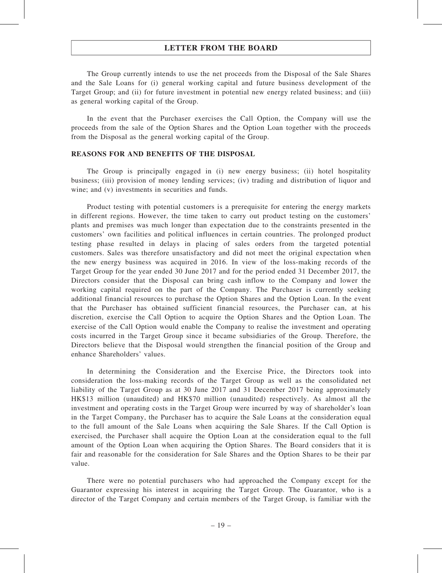The Group currently intends to use the net proceeds from the Disposal of the Sale Shares and the Sale Loans for (i) general working capital and future business development of the Target Group; and (ii) for future investment in potential new energy related business; and (iii) as general working capital of the Group.

In the event that the Purchaser exercises the Call Option, the Company will use the proceeds from the sale of the Option Shares and the Option Loan together with the proceeds from the Disposal as the general working capital of the Group.

## REASONS FOR AND BENEFITS OF THE DISPOSAL

The Group is principally engaged in (i) new energy business; (ii) hotel hospitality business; (iii) provision of money lending services; (iv) trading and distribution of liquor and wine; and (v) investments in securities and funds.

Product testing with potential customers is a prerequisite for entering the energy markets in different regions. However, the time taken to carry out product testing on the customers' plants and premises was much longer than expectation due to the constraints presented in the customers' own facilities and political influences in certain countries. The prolonged product testing phase resulted in delays in placing of sales orders from the targeted potential customers. Sales was therefore unsatisfactory and did not meet the original expectation when the new energy business was acquired in 2016. In view of the loss-making records of the Target Group for the year ended 30 June 2017 and for the period ended 31 December 2017, the Directors consider that the Disposal can bring cash inflow to the Company and lower the working capital required on the part of the Company. The Purchaser is currently seeking additional financial resources to purchase the Option Shares and the Option Loan. In the event that the Purchaser has obtained sufficient financial resources, the Purchaser can, at his discretion, exercise the Call Option to acquire the Option Shares and the Option Loan. The exercise of the Call Option would enable the Company to realise the investment and operating costs incurred in the Target Group since it became subsidiaries of the Group. Therefore, the Directors believe that the Disposal would strengthen the financial position of the Group and enhance Shareholders' values.

In determining the Consideration and the Exercise Price, the Directors took into consideration the loss-making records of the Target Group as well as the consolidated net liability of the Target Group as at 30 June 2017 and 31 December 2017 being approximately HK\$13 million (unaudited) and HK\$70 million (unaudited) respectively. As almost all the investment and operating costs in the Target Group were incurred by way of shareholder's loan in the Target Company, the Purchaser has to acquire the Sale Loans at the consideration equal to the full amount of the Sale Loans when acquiring the Sale Shares. If the Call Option is exercised, the Purchaser shall acquire the Option Loan at the consideration equal to the full amount of the Option Loan when acquiring the Option Shares. The Board considers that it is fair and reasonable for the consideration for Sale Shares and the Option Shares to be their par value.

There were no potential purchasers who had approached the Company except for the Guarantor expressing his interest in acquiring the Target Group. The Guarantor, who is a director of the Target Company and certain members of the Target Group, is familiar with the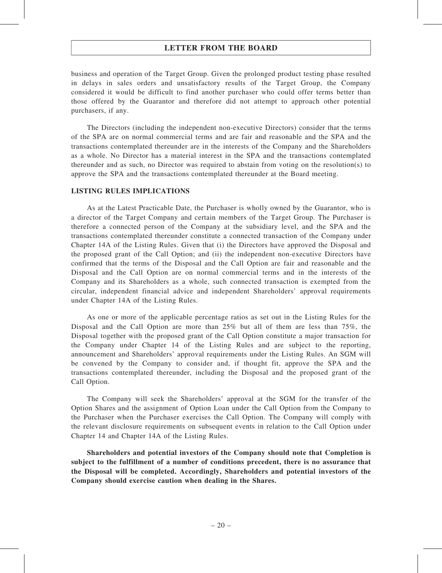business and operation of the Target Group. Given the prolonged product testing phase resulted in delays in sales orders and unsatisfactory results of the Target Group, the Company considered it would be difficult to find another purchaser who could offer terms better than those offered by the Guarantor and therefore did not attempt to approach other potential purchasers, if any.

The Directors (including the independent non-executive Directors) consider that the terms of the SPA are on normal commercial terms and are fair and reasonable and the SPA and the transactions contemplated thereunder are in the interests of the Company and the Shareholders as a whole. No Director has a material interest in the SPA and the transactions contemplated thereunder and as such, no Director was required to abstain from voting on the resolution(s) to approve the SPA and the transactions contemplated thereunder at the Board meeting.

### LISTING RULES IMPLICATIONS

As at the Latest Practicable Date, the Purchaser is wholly owned by the Guarantor, who is a director of the Target Company and certain members of the Target Group. The Purchaser is therefore a connected person of the Company at the subsidiary level, and the SPA and the transactions contemplated thereunder constitute a connected transaction of the Company under Chapter 14A of the Listing Rules. Given that (i) the Directors have approved the Disposal and the proposed grant of the Call Option; and (ii) the independent non-executive Directors have confirmed that the terms of the Disposal and the Call Option are fair and reasonable and the Disposal and the Call Option are on normal commercial terms and in the interests of the Company and its Shareholders as a whole, such connected transaction is exempted from the circular, independent financial advice and independent Shareholders' approval requirements under Chapter 14A of the Listing Rules.

As one or more of the applicable percentage ratios as set out in the Listing Rules for the Disposal and the Call Option are more than 25% but all of them are less than 75%, the Disposal together with the proposed grant of the Call Option constitute a major transaction for the Company under Chapter 14 of the Listing Rules and are subject to the reporting, announcement and Shareholders' approval requirements under the Listing Rules. An SGM will be convened by the Company to consider and, if thought fit, approve the SPA and the transactions contemplated thereunder, including the Disposal and the proposed grant of the Call Option.

The Company will seek the Shareholders' approval at the SGM for the transfer of the Option Shares and the assignment of Option Loan under the Call Option from the Company to the Purchaser when the Purchaser exercises the Call Option. The Company will comply with the relevant disclosure requirements on subsequent events in relation to the Call Option under Chapter 14 and Chapter 14A of the Listing Rules.

Shareholders and potential investors of the Company should note that Completion is subject to the fulfillment of a number of conditions precedent, there is no assurance that the Disposal will be completed. Accordingly, Shareholders and potential investors of the Company should exercise caution when dealing in the Shares.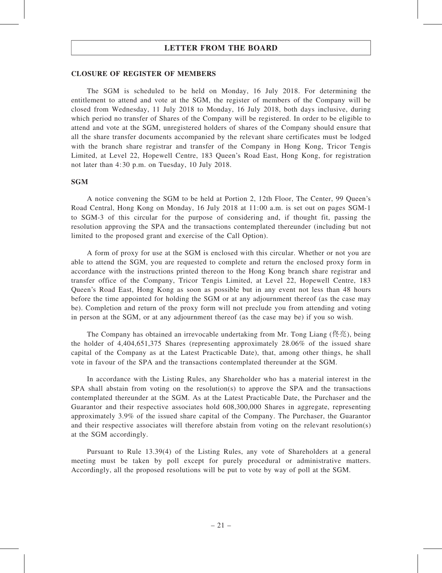#### CLOSURE OF REGISTER OF MEMBERS

The SGM is scheduled to be held on Monday, 16 July 2018. For determining the entitlement to attend and vote at the SGM, the register of members of the Company will be closed from Wednesday, 11 July 2018 to Monday, 16 July 2018, both days inclusive, during which period no transfer of Shares of the Company will be registered. In order to be eligible to attend and vote at the SGM, unregistered holders of shares of the Company should ensure that all the share transfer documents accompanied by the relevant share certificates must be lodged with the branch share registrar and transfer of the Company in Hong Kong, Tricor Tengis Limited, at Level 22, Hopewell Centre, 183 Queen's Road East, Hong Kong, for registration not later than 4:30 p.m. on Tuesday, 10 July 2018.

#### **SGM**

A notice convening the SGM to be held at Portion 2, 12th Floor, The Center, 99 Queen's Road Central, Hong Kong on Monday, 16 July 2018 at 11:00 a.m. is set out on pages SGM-1 to SGM-3 of this circular for the purpose of considering and, if thought fit, passing the resolution approving the SPA and the transactions contemplated thereunder (including but not limited to the proposed grant and exercise of the Call Option).

A form of proxy for use at the SGM is enclosed with this circular. Whether or not you are able to attend the SGM, you are requested to complete and return the enclosed proxy form in accordance with the instructions printed thereon to the Hong Kong branch share registrar and transfer office of the Company, Tricor Tengis Limited, at Level 22, Hopewell Centre, 183 Queen's Road East, Hong Kong as soon as possible but in any event not less than 48 hours before the time appointed for holding the SGM or at any adjournment thereof (as the case may be). Completion and return of the proxy form will not preclude you from attending and voting in person at the SGM, or at any adjournment thereof (as the case may be) if you so wish.

The Company has obtained an irrevocable undertaking from Mr. Tong Liang (佟亮), being the holder of 4,404,651,375 Shares (representing approximately 28.06% of the issued share capital of the Company as at the Latest Practicable Date), that, among other things, he shall vote in favour of the SPA and the transactions contemplated thereunder at the SGM.

In accordance with the Listing Rules, any Shareholder who has a material interest in the SPA shall abstain from voting on the resolution(s) to approve the SPA and the transactions contemplated thereunder at the SGM. As at the Latest Practicable Date, the Purchaser and the Guarantor and their respective associates hold 608,300,000 Shares in aggregate, representing approximately 3.9% of the issued share capital of the Company. The Purchaser, the Guarantor and their respective associates will therefore abstain from voting on the relevant resolution(s) at the SGM accordingly.

Pursuant to Rule 13.39(4) of the Listing Rules, any vote of Shareholders at a general meeting must be taken by poll except for purely procedural or administrative matters. Accordingly, all the proposed resolutions will be put to vote by way of poll at the SGM.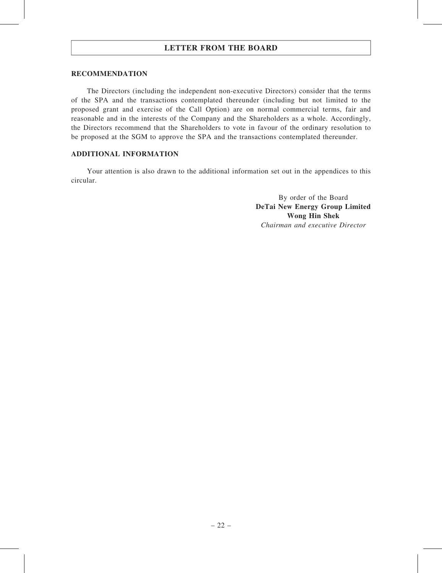#### RECOMMENDATION

The Directors (including the independent non-executive Directors) consider that the terms of the SPA and the transactions contemplated thereunder (including but not limited to the proposed grant and exercise of the Call Option) are on normal commercial terms, fair and reasonable and in the interests of the Company and the Shareholders as a whole. Accordingly, the Directors recommend that the Shareholders to vote in favour of the ordinary resolution to be proposed at the SGM to approve the SPA and the transactions contemplated thereunder.

## ADDITIONAL INFORMATION

Your attention is also drawn to the additional information set out in the appendices to this circular.

> By order of the Board DeTai New Energy Group Limited Wong Hin Shek Chairman and executive Director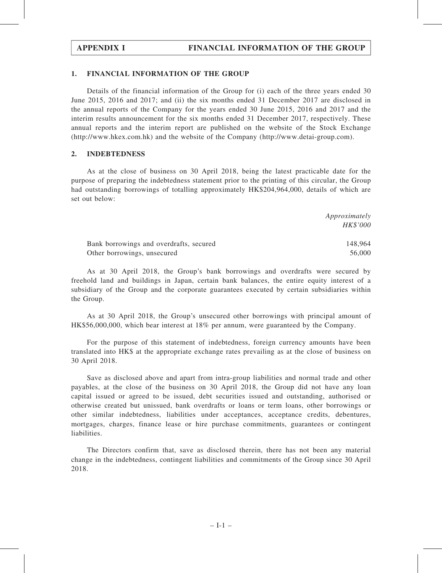### 1. FINANCIAL INFORMATION OF THE GROUP

Details of the financial information of the Group for (i) each of the three years ended 30 June 2015, 2016 and 2017; and (ii) the six months ended 31 December 2017 are disclosed in the annual reports of the Company for the years ended 30 June 2015, 2016 and 2017 and the interim results announcement for the six months ended 31 December 2017, respectively. These annual reports and the interim report are published on the website of the Stock Exchange (http://www.hkex.com.hk) and the website of the Company (http://www.detai-group.com).

### 2. INDEBTEDNESS

As at the close of business on 30 April 2018, being the latest practicable date for the purpose of preparing the indebtedness statement prior to the printing of this circular, the Group had outstanding borrowings of totalling approximately HK\$204,964,000, details of which are set out below:

|                                         | Approximately |
|-----------------------------------------|---------------|
|                                         | HK\$'000      |
| Bank borrowings and overdrafts, secured | 148.964       |
| Other borrowings, unsecured             | 56,000        |

As at 30 April 2018, the Group's bank borrowings and overdrafts were secured by freehold land and buildings in Japan, certain bank balances, the entire equity interest of a subsidiary of the Group and the corporate guarantees executed by certain subsidiaries within the Group.

As at 30 April 2018, the Group's unsecured other borrowings with principal amount of HK\$56,000,000, which bear interest at 18% per annum, were guaranteed by the Company.

For the purpose of this statement of indebtedness, foreign currency amounts have been translated into HK\$ at the appropriate exchange rates prevailing as at the close of business on 30 April 2018.

Save as disclosed above and apart from intra-group liabilities and normal trade and other payables, at the close of the business on 30 April 2018, the Group did not have any loan capital issued or agreed to be issued, debt securities issued and outstanding, authorised or otherwise created but unissued, bank overdrafts or loans or term loans, other borrowings or other similar indebtedness, liabilities under acceptances, acceptance credits, debentures, mortgages, charges, finance lease or hire purchase commitments, guarantees or contingent liabilities.

The Directors confirm that, save as disclosed therein, there has not been any material change in the indebtedness, contingent liabilities and commitments of the Group since 30 April 2018.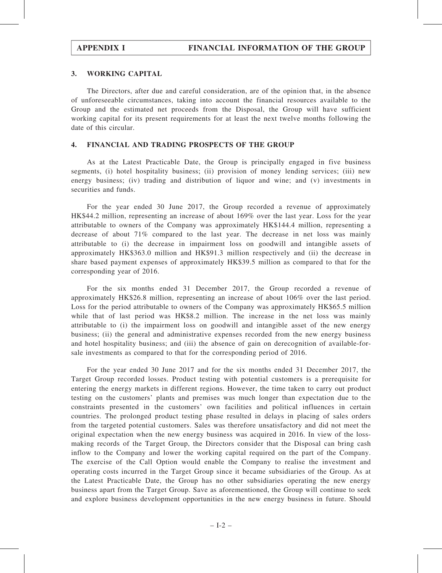## 3. WORKING CAPITAL

The Directors, after due and careful consideration, are of the opinion that, in the absence of unforeseeable circumstances, taking into account the financial resources available to the Group and the estimated net proceeds from the Disposal, the Group will have sufficient working capital for its present requirements for at least the next twelve months following the date of this circular.

## 4. FINANCIAL AND TRADING PROSPECTS OF THE GROUP

As at the Latest Practicable Date, the Group is principally engaged in five business segments, (i) hotel hospitality business; (ii) provision of money lending services; (iii) new energy business; (iv) trading and distribution of liquor and wine; and (v) investments in securities and funds.

For the year ended 30 June 2017, the Group recorded a revenue of approximately HK\$44.2 million, representing an increase of about 169% over the last year. Loss for the year attributable to owners of the Company was approximately HK\$144.4 million, representing a decrease of about 71% compared to the last year. The decrease in net loss was mainly attributable to (i) the decrease in impairment loss on goodwill and intangible assets of approximately HK\$363.0 million and HK\$91.3 million respectively and (ii) the decrease in share based payment expenses of approximately HK\$39.5 million as compared to that for the corresponding year of 2016.

For the six months ended 31 December 2017, the Group recorded a revenue of approximately HK\$26.8 million, representing an increase of about 106% over the last period. Loss for the period attributable to owners of the Company was approximately HK\$65.5 million while that of last period was HK\$8.2 million. The increase in the net loss was mainly attributable to (i) the impairment loss on goodwill and intangible asset of the new energy business; (ii) the general and administrative expenses recorded from the new energy business and hotel hospitality business; and (iii) the absence of gain on derecognition of available-forsale investments as compared to that for the corresponding period of 2016.

For the year ended 30 June 2017 and for the six months ended 31 December 2017, the Target Group recorded losses. Product testing with potential customers is a prerequisite for entering the energy markets in different regions. However, the time taken to carry out product testing on the customers' plants and premises was much longer than expectation due to the constraints presented in the customers' own facilities and political influences in certain countries. The prolonged product testing phase resulted in delays in placing of sales orders from the targeted potential customers. Sales was therefore unsatisfactory and did not meet the original expectation when the new energy business was acquired in 2016. In view of the lossmaking records of the Target Group, the Directors consider that the Disposal can bring cash inflow to the Company and lower the working capital required on the part of the Company. The exercise of the Call Option would enable the Company to realise the investment and operating costs incurred in the Target Group since it became subsidiaries of the Group. As at the Latest Practicable Date, the Group has no other subsidiaries operating the new energy business apart from the Target Group. Save as aforementioned, the Group will continue to seek and explore business development opportunities in the new energy business in future. Should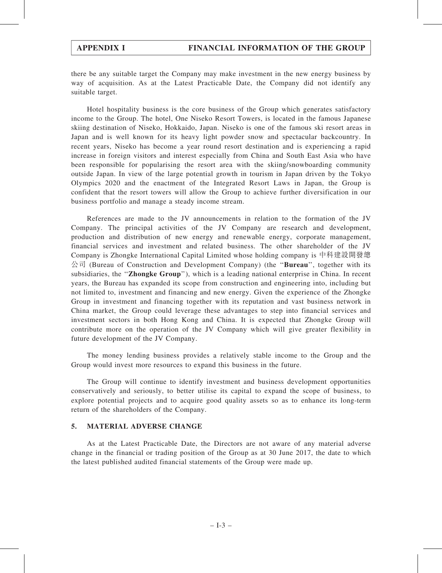there be any suitable target the Company may make investment in the new energy business by way of acquisition. As at the Latest Practicable Date, the Company did not identify any suitable target.

Hotel hospitality business is the core business of the Group which generates satisfactory income to the Group. The hotel, One Niseko Resort Towers, is located in the famous Japanese skiing destination of Niseko, Hokkaido, Japan. Niseko is one of the famous ski resort areas in Japan and is well known for its heavy light powder snow and spectacular backcountry. In recent years, Niseko has become a year round resort destination and is experiencing a rapid increase in foreign visitors and interest especially from China and South East Asia who have been responsible for popularising the resort area with the skiing/snowboarding community outside Japan. In view of the large potential growth in tourism in Japan driven by the Tokyo Olympics 2020 and the enactment of the Integrated Resort Laws in Japan, the Group is confident that the resort towers will allow the Group to achieve further diversification in our business portfolio and manage a steady income stream.

References are made to the JV announcements in relation to the formation of the JV Company. The principal activities of the JV Company are research and development, production and distribution of new energy and renewable energy, corporate management, financial services and investment and related business. The other shareholder of the JV Company is Zhongke International Capital Limited whose holding company is 中科建設開發總  $\triangle$ 司 (Bureau of Construction and Development Company) (the "**Bureau**", together with its subsidiaries, the "**Zhongke Group**"), which is a leading national enterprise in China. In recent years, the Bureau has expanded its scope from construction and engineering into, including but not limited to, investment and financing and new energy. Given the experience of the Zhongke Group in investment and financing together with its reputation and vast business network in China market, the Group could leverage these advantages to step into financial services and investment sectors in both Hong Kong and China. It is expected that Zhongke Group will contribute more on the operation of the JV Company which will give greater flexibility in future development of the JV Company.

The money lending business provides a relatively stable income to the Group and the Group would invest more resources to expand this business in the future.

The Group will continue to identify investment and business development opportunities conservatively and seriously, to better utilise its capital to expand the scope of business, to explore potential projects and to acquire good quality assets so as to enhance its long-term return of the shareholders of the Company.

## 5. MATERIAL ADVERSE CHANGE

As at the Latest Practicable Date, the Directors are not aware of any material adverse change in the financial or trading position of the Group as at 30 June 2017, the date to which the latest published audited financial statements of the Group were made up.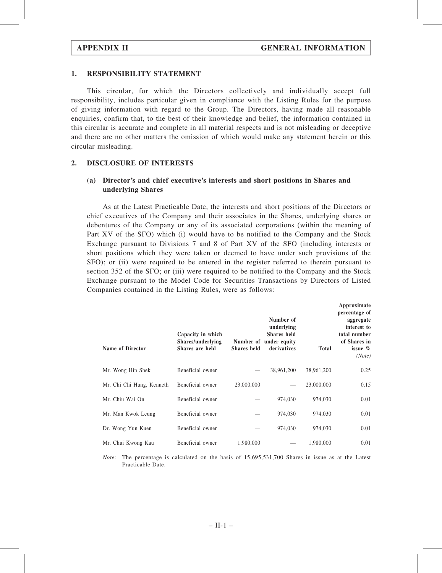### 1. RESPONSIBILITY STATEMENT

This circular, for which the Directors collectively and individually accept full responsibility, includes particular given in compliance with the Listing Rules for the purpose of giving information with regard to the Group. The Directors, having made all reasonable enquiries, confirm that, to the best of their knowledge and belief, the information contained in this circular is accurate and complete in all material respects and is not misleading or deceptive and there are no other matters the omission of which would make any statement herein or this circular misleading.

### 2. DISCLOSURE OF INTERESTS

## (a) Director's and chief executive's interests and short positions in Shares and underlying Shares

As at the Latest Practicable Date, the interests and short positions of the Directors or chief executives of the Company and their associates in the Shares, underlying shares or debentures of the Company or any of its associated corporations (within the meaning of Part XV of the SFO) which (i) would have to be notified to the Company and the Stock Exchange pursuant to Divisions 7 and 8 of Part XV of the SFO (including interests or short positions which they were taken or deemed to have under such provisions of the SFO); or (ii) were required to be entered in the register referred to therein pursuant to section 352 of the SFO; or (iii) were required to be notified to the Company and the Stock Exchange pursuant to the Model Code for Securities Transactions by Directors of Listed Companies contained in the Listing Rules, were as follows:

| <b>Name of Director</b>   | Capacity in which<br>Shares/underlying<br>Shares are held | <b>Shares held</b> | Number of<br>underlying<br>Shares held<br>Number of under equity<br>derivatives | <b>Total</b> | Approximate<br>percentage of<br>aggregate<br>interest to<br>total number<br>of Shares in<br>issue $\%$<br>(Note) |
|---------------------------|-----------------------------------------------------------|--------------------|---------------------------------------------------------------------------------|--------------|------------------------------------------------------------------------------------------------------------------|
| Mr. Wong Hin Shek         | Beneficial owner                                          |                    | 38,961,200                                                                      | 38,961,200   | 0.25                                                                                                             |
| Mr. Chi Chi Hung, Kenneth | Beneficial owner                                          | 23,000,000         |                                                                                 | 23,000,000   | 0.15                                                                                                             |
| Mr. Chiu Wai On           | Beneficial owner                                          |                    | 974,030                                                                         | 974,030      | 0.01                                                                                                             |
| Mr. Man Kwok Leung        | Beneficial owner                                          |                    | 974,030                                                                         | 974,030      | 0.01                                                                                                             |
| Dr. Wong Yun Kuen         | Beneficial owner                                          |                    | 974,030                                                                         | 974,030      | 0.01                                                                                                             |
| Mr. Chui Kwong Kau        | Beneficial owner                                          | 1,980,000          |                                                                                 | 1,980,000    | 0.01                                                                                                             |

Note: The percentage is calculated on the basis of 15,695,531,700 Shares in issue as at the Latest Practicable Date.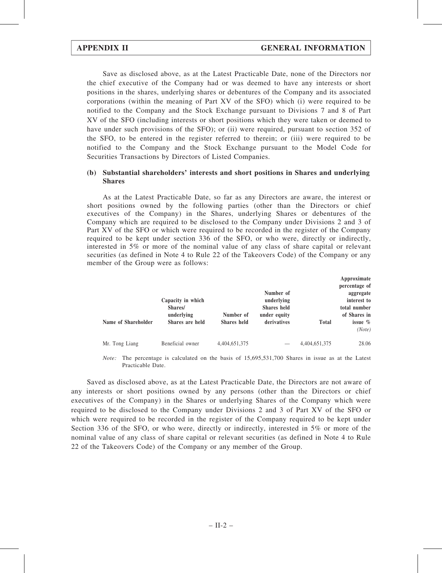Save as disclosed above, as at the Latest Practicable Date, none of the Directors nor the chief executive of the Company had or was deemed to have any interests or short positions in the shares, underlying shares or debentures of the Company and its associated corporations (within the meaning of Part XV of the SFO) which (i) were required to be notified to the Company and the Stock Exchange pursuant to Divisions 7 and 8 of Part XV of the SFO (including interests or short positions which they were taken or deemed to have under such provisions of the SFO); or (ii) were required, pursuant to section 352 of the SFO, to be entered in the register referred to therein; or (iii) were required to be notified to the Company and the Stock Exchange pursuant to the Model Code for Securities Transactions by Directors of Listed Companies.

### (b) Substantial shareholders' interests and short positions in Shares and underlying Shares

As at the Latest Practicable Date, so far as any Directors are aware, the interest or short positions owned by the following parties (other than the Directors or chief executives of the Company) in the Shares, underlying Shares or debentures of the Company which are required to be disclosed to the Company under Divisions 2 and 3 of Part XV of the SFO or which were required to be recorded in the register of the Company required to be kept under section 336 of the SFO, or who were, directly or indirectly, interested in 5% or more of the nominal value of any class of share capital or relevant securities (as defined in Note 4 to Rule 22 of the Takeovers Code) of the Company or any member of the Group were as follows:

|                     |                              |                    | Number of                        |               | Approximate<br>percentage of<br>aggregate |
|---------------------|------------------------------|--------------------|----------------------------------|---------------|-------------------------------------------|
|                     | Capacity in which<br>Shares/ |                    | underlying<br><b>Shares</b> held |               | interest to<br>total number               |
|                     | underlying                   | Number of          | under equity                     |               | of Shares in                              |
| Name of Shareholder | Shares are held              | <b>Shares</b> held | derivatives                      | <b>Total</b>  | issue $\%$<br>(Note)                      |
| Mr. Tong Liang      | Beneficial owner             | 4,404,651,375      |                                  | 4,404,651,375 | 28.06                                     |

Note: The percentage is calculated on the basis of 15,695,531,700 Shares in issue as at the Latest Practicable Date.

Saved as disclosed above, as at the Latest Practicable Date, the Directors are not aware of any interests or short positions owned by any persons (other than the Directors or chief executives of the Company) in the Shares or underlying Shares of the Company which were required to be disclosed to the Company under Divisions 2 and 3 of Part XV of the SFO or which were required to be recorded in the register of the Company required to be kept under Section 336 of the SFO, or who were, directly or indirectly, interested in 5% or more of the nominal value of any class of share capital or relevant securities (as defined in Note 4 to Rule 22 of the Takeovers Code) of the Company or any member of the Group.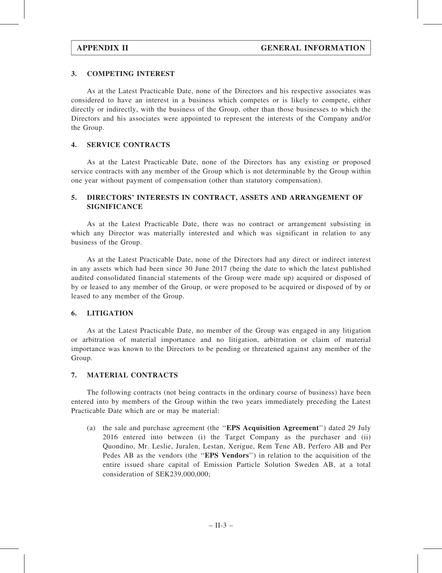## 3. COMPETING INTEREST

As at the Latest Practicable Date, none of the Directors and his respective associates was considered to have an interest in a business which competes or is likely to compete, either directly or indirectly, with the business of the Group, other than those businesses to which the Directors and his associates were appointed to represent the interests of the Company and/or the Group.

## 4. SERVICE CONTRACTS

As at the Latest Practicable Date, none of the Directors has any existing or proposed service contracts with any member of the Group which is not determinable by the Group within one year without payment of compensation (other than statutory compensation).

## 5. DIRECTORS' INTERESTS IN CONTRACT, ASSETS AND ARRANGEMENT OF **SIGNIFICANCE**

As at the Latest Practicable Date, there was no contract or arrangement subsisting in which any Director was materially interested and which was significant in relation to any business of the Group.

As at the Latest Practicable Date, none of the Directors had any direct or indirect interest in any assets which had been since 30 June 2017 (being the date to which the latest published audited consolidated financial statements of the Group were made up) acquired or disposed of by or leased to any member of the Group, or were proposed to be acquired or disposed of by or leased to any member of the Group.

## 6. LITIGATION

As at the Latest Practicable Date, no member of the Group was engaged in any litigation or arbitration of material importance and no litigation, arbitration or claim of material importance was known to the Directors to be pending or threatened against any member of the Group.

## 7. MATERIAL CONTRACTS

The following contracts (not being contracts in the ordinary course of business) have been entered into by members of the Group within the two years immediately preceding the Latest Practicable Date which are or may be material:

(a) the sale and purchase agreement (the ''EPS Acquisition Agreement'') dated 29 July 2016 entered into between (i) the Target Company as the purchaser and (ii) Quondino, Mr. Leslie, Juralen, Lestan, Xerigue, Rem Tene AB, Perfero AB and Per Pedes AB as the vendors (the "EPS Vendors") in relation to the acquisition of the entire issued share capital of Emission Particle Solution Sweden AB, at a total consideration of SEK239,000,000;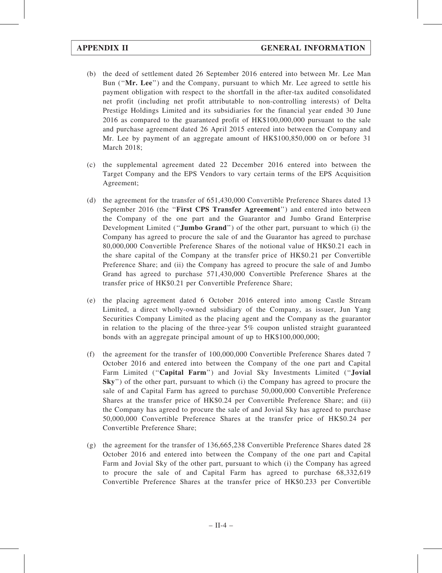- (b) the deed of settlement dated 26 September 2016 entered into between Mr. Lee Man Bun ("Mr. Lee") and the Company, pursuant to which Mr. Lee agreed to settle his payment obligation with respect to the shortfall in the after-tax audited consolidated net profit (including net profit attributable to non-controlling interests) of Delta Prestige Holdings Limited and its subsidiaries for the financial year ended 30 June 2016 as compared to the guaranteed profit of HK\$100,000,000 pursuant to the sale and purchase agreement dated 26 April 2015 entered into between the Company and Mr. Lee by payment of an aggregate amount of HK\$100,850,000 on or before 31 March 2018;
- (c) the supplemental agreement dated 22 December 2016 entered into between the Target Company and the EPS Vendors to vary certain terms of the EPS Acquisition Agreement;
- (d) the agreement for the transfer of 651,430,000 Convertible Preference Shares dated 13 September 2016 (the "First CPS Transfer Agreement") and entered into between the Company of the one part and the Guarantor and Jumbo Grand Enterprise Development Limited ("**Jumbo Grand**") of the other part, pursuant to which (i) the Company has agreed to procure the sale of and the Guarantor has agreed to purchase 80,000,000 Convertible Preference Shares of the notional value of HK\$0.21 each in the share capital of the Company at the transfer price of HK\$0.21 per Convertible Preference Share; and (ii) the Company has agreed to procure the sale of and Jumbo Grand has agreed to purchase 571,430,000 Convertible Preference Shares at the transfer price of HK\$0.21 per Convertible Preference Share;
- (e) the placing agreement dated 6 October 2016 entered into among Castle Stream Limited, a direct wholly-owned subsidiary of the Company, as issuer, Jun Yang Securities Company Limited as the placing agent and the Company as the guarantor in relation to the placing of the three-year 5% coupon unlisted straight guaranteed bonds with an aggregate principal amount of up to HK\$100,000,000;
- (f) the agreement for the transfer of 100,000,000 Convertible Preference Shares dated 7 October 2016 and entered into between the Company of the one part and Capital Farm Limited ("Capital Farm") and Jovial Sky Investments Limited ("Jovial Sky'') of the other part, pursuant to which (i) the Company has agreed to procure the sale of and Capital Farm has agreed to purchase 50,000,000 Convertible Preference Shares at the transfer price of HK\$0.24 per Convertible Preference Share; and (ii) the Company has agreed to procure the sale of and Jovial Sky has agreed to purchase 50,000,000 Convertible Preference Shares at the transfer price of HK\$0.24 per Convertible Preference Share;
- (g) the agreement for the transfer of 136,665,238 Convertible Preference Shares dated 28 October 2016 and entered into between the Company of the one part and Capital Farm and Jovial Sky of the other part, pursuant to which (i) the Company has agreed to procure the sale of and Capital Farm has agreed to purchase 68,332,619 Convertible Preference Shares at the transfer price of HK\$0.233 per Convertible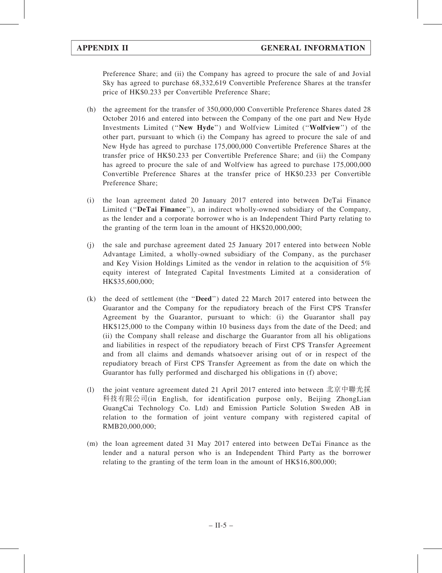Preference Share; and (ii) the Company has agreed to procure the sale of and Jovial Sky has agreed to purchase 68,332,619 Convertible Preference Shares at the transfer price of HK\$0.233 per Convertible Preference Share;

- (h) the agreement for the transfer of 350,000,000 Convertible Preference Shares dated 28 October 2016 and entered into between the Company of the one part and New Hyde Investments Limited (''New Hyde'') and Wolfview Limited (''Wolfview'') of the other part, pursuant to which (i) the Company has agreed to procure the sale of and New Hyde has agreed to purchase 175,000,000 Convertible Preference Shares at the transfer price of HK\$0.233 per Convertible Preference Share; and (ii) the Company has agreed to procure the sale of and Wolfview has agreed to purchase 175,000,000 Convertible Preference Shares at the transfer price of HK\$0.233 per Convertible Preference Share;
- (i) the loan agreement dated 20 January 2017 entered into between DeTai Finance Limited ("DeTai Finance"), an indirect wholly-owned subsidiary of the Company, as the lender and a corporate borrower who is an Independent Third Party relating to the granting of the term loan in the amount of HK\$20,000,000;
- (j) the sale and purchase agreement dated 25 January 2017 entered into between Noble Advantage Limited, a wholly-owned subsidiary of the Company, as the purchaser and Key Vision Holdings Limited as the vendor in relation to the acquisition of 5% equity interest of Integrated Capital Investments Limited at a consideration of HK\$35,600,000;
- (k) the deed of settlement (the ''Deed'') dated 22 March 2017 entered into between the Guarantor and the Company for the repudiatory breach of the First CPS Transfer Agreement by the Guarantor, pursuant to which: (i) the Guarantor shall pay HK\$125,000 to the Company within 10 business days from the date of the Deed; and (ii) the Company shall release and discharge the Guarantor from all his obligations and liabilities in respect of the repudiatory breach of First CPS Transfer Agreement and from all claims and demands whatsoever arising out of or in respect of the repudiatory breach of First CPS Transfer Agreement as from the date on which the Guarantor has fully performed and discharged his obligations in (f) above;
- (l) the joint venture agreement dated 21 April 2017 entered into between 北京中聯光採 科技有限公司(in English, for identification purpose only, Beijing ZhongLian GuangCai Technology Co. Ltd) and Emission Particle Solution Sweden AB in relation to the formation of joint venture company with registered capital of RMB20,000,000;
- (m) the loan agreement dated 31 May 2017 entered into between DeTai Finance as the lender and a natural person who is an Independent Third Party as the borrower relating to the granting of the term loan in the amount of HK\$16,800,000;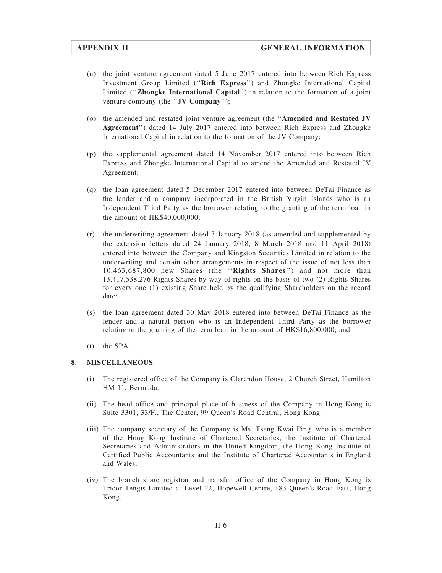- (n) the joint venture agreement dated 5 June 2017 entered into between Rich Express Investment Group Limited (''Rich Express'') and Zhongke International Capital Limited ("**Zhongke International Capital**") in relation to the formation of a joint venture company (the "JV Company");
- (o) the amended and restated joint venture agreement (the ''Amended and Restated JV Agreement'') dated 14 July 2017 entered into between Rich Express and Zhongke International Capital in relation to the formation of the JV Company;
- (p) the supplemental agreement dated 14 November 2017 entered into between Rich Express and Zhongke International Capital to amend the Amended and Restated JV Agreement;
- (q) the loan agreement dated 5 December 2017 entered into between DeTai Finance as the lender and a company incorporated in the British Virgin Islands who is an Independent Third Party as the borrower relating to the granting of the term loan in the amount of HK\$40,000,000;
- (r) the underwriting agreement dated 3 January 2018 (as amended and supplemented by the extension letters dated 24 January 2018, 8 March 2018 and 11 April 2018) entered into between the Company and Kingston Securities Limited in relation to the underwriting and certain other arrangements in respect of the issue of not less than 10,463,687,800 new Shares (the ''Rights Shares'') and not more than 13,417,538,276 Rights Shares by way of rights on the basis of two (2) Rights Shares for every one (1) existing Share held by the qualifying Shareholders on the record date;
- (s) the loan agreement dated 30 May 2018 entered into between DeTai Finance as the lender and a natural person who is an Independent Third Party as the borrower relating to the granting of the term loan in the amount of HK\$16,800,000; and
- (t) the SPA.

## 8. MISCELLANEOUS

- (i) The registered office of the Company is Clarendon House, 2 Church Street, Hamilton HM 11, Bermuda.
- (ii) The head office and principal place of business of the Company in Hong Kong is Suite 3301, 33/F., The Center, 99 Queen's Road Central, Hong Kong.
- (iii) The company secretary of the Company is Ms. Tsang Kwai Ping, who is a member of the Hong Kong Institute of Chartered Secretaries, the Institute of Chartered Secretaries and Administrators in the United Kingdom, the Hong Kong Institute of Certified Public Accountants and the Institute of Chartered Accountants in England and Wales.
- (iv) The branch share registrar and transfer office of the Company in Hong Kong is Tricor Tengis Limited at Level 22, Hopewell Centre, 183 Queen's Road East, Hong Kong.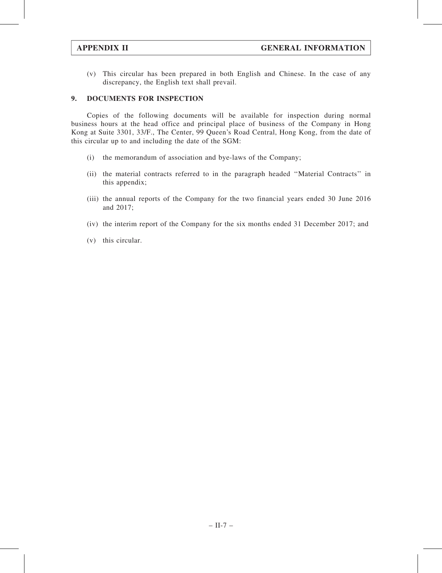(v) This circular has been prepared in both English and Chinese. In the case of any discrepancy, the English text shall prevail.

## 9. DOCUMENTS FOR INSPECTION

Copies of the following documents will be available for inspection during normal business hours at the head office and principal place of business of the Company in Hong Kong at Suite 3301, 33/F., The Center, 99 Queen's Road Central, Hong Kong, from the date of this circular up to and including the date of the SGM:

- (i) the memorandum of association and bye-laws of the Company;
- (ii) the material contracts referred to in the paragraph headed ''Material Contracts'' in this appendix;
- (iii) the annual reports of the Company for the two financial years ended 30 June 2016 and 2017;
- (iv) the interim report of the Company for the six months ended 31 December 2017; and
- (v) this circular.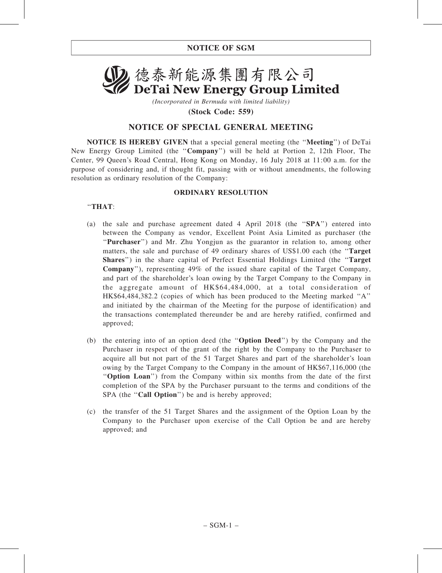

(Incorporated in Bermuda with limited liability) (Stock Code: 559)

## NOTICE OF SPECIAL GENERAL MEETING

NOTICE IS HEREBY GIVEN that a special general meeting (the ''Meeting'') of DeTai New Energy Group Limited (the "Company") will be held at Portion 2, 12th Floor, The Center, 99 Queen's Road Central, Hong Kong on Monday, 16 July 2018 at 11:00 a.m. for the purpose of considering and, if thought fit, passing with or without amendments, the following resolution as ordinary resolution of the Company:

## ORDINARY RESOLUTION

## ''THAT:

- (a) the sale and purchase agreement dated 4 April 2018 (the ''SPA'') entered into between the Company as vendor, Excellent Point Asia Limited as purchaser (the "Purchaser") and Mr. Zhu Yongjun as the guarantor in relation to, among other matters, the sale and purchase of 49 ordinary shares of US\$1.00 each (the "Target" Shares'') in the share capital of Perfect Essential Holdings Limited (the ''Target Company''), representing 49% of the issued share capital of the Target Company, and part of the shareholder's loan owing by the Target Company to the Company in the aggregate amount of HK\$64,484,000, at a total consideration of HK\$64,484,382.2 (copies of which has been produced to the Meeting marked ''A'' and initiated by the chairman of the Meeting for the purpose of identification) and the transactions contemplated thereunder be and are hereby ratified, confirmed and approved;
- (b) the entering into of an option deed (the ''Option Deed'') by the Company and the Purchaser in respect of the grant of the right by the Company to the Purchaser to acquire all but not part of the 51 Target Shares and part of the shareholder's loan owing by the Target Company to the Company in the amount of HK\$67,116,000 (the ''Option Loan'') from the Company within six months from the date of the first completion of the SPA by the Purchaser pursuant to the terms and conditions of the SPA (the "Call Option") be and is hereby approved;
- (c) the transfer of the 51 Target Shares and the assignment of the Option Loan by the Company to the Purchaser upon exercise of the Call Option be and are hereby approved; and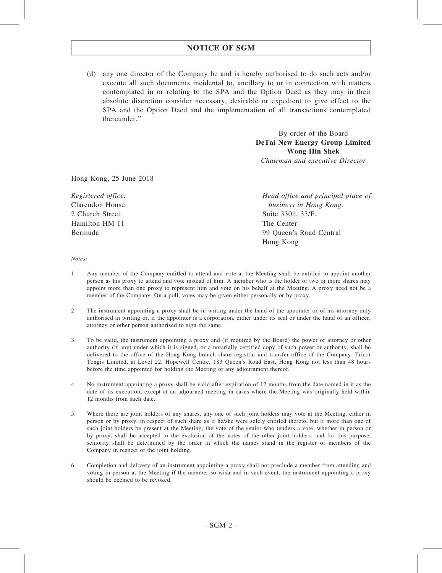## NOTICE OF SGM

(d) any one director of the Company be and is hereby authorised to do such acts and/or execute all such documents incidental to, ancillary to or in connection with matters contemplated in or relating to the SPA and the Option Deed as they may in their absolute discretion consider necessary, desirable or expedient to give effect to the SPA and the Option Deed and the implementation of all transactions contemplated thereunder.''

> By order of the Board DeTai New Energy Group Limited Wong Hin Shek Chairman and executive Director

Hong Kong, 25 June 2018

Registered office: Clarendon House 2 Church Street Hamilton HM 11 Bermuda

Head office and principal place of business in Hong Kong: Suite 3301, 33/F. The Center 99 Queen's Road Central Hong Kong

Notes:

- 1. Any member of the Company entitled to attend and vote at the Meeting shall be entitled to appoint another person as his proxy to attend and vote instead of him. A member who is the holder of two or more shares may appoint more than one proxy to represent him and vote on his behalf at the Meeting. A proxy need not be a member of the Company. On a poll, votes may be given either personally or by proxy.
- 2. The instrument appointing a proxy shall be in writing under the hand of the appointer or of his attorney duly authorised in writing or, if the appointer is a corporation, either under its seal or under the hand of an officer, attorney or other person authorised to sign the same.
- 3. To be valid, the instrument appointing a proxy and (if required by the Board) the power of attorney or other authority (if any) under which it is signed, or a notarially certified copy of such power or authority, shall be delivered to the office of the Hong Kong branch share registrar and transfer office of the Company, Tricor Tengis Limited, at Level 22, Hopewell Centre, 183 Queen's Road East, Hong Kong not less than 48 hours before the time appointed for holding the Meeting or any adjournment thereof.
- 4. No instrument appointing a proxy shall be valid after expiration of 12 months from the date named in it as the date of its execution, except at an adjourned meeting in cases where the Meeting was originally held within 12 months from such date.
- 5. Where there are joint holders of any shares, any one of such joint holders may vote at the Meeting, either in person or by proxy, in respect of such share as if he/she were solely entitled thereto, but if more than one of such joint holders be present at the Meeting, the vote of the senior who tenders a vote, whether in person or by proxy, shall be accepted to the exclusion of the votes of the other joint holders, and for this purpose, seniority shall be determined by the order in which the names stand in the register of members of the Company in respect of the joint holding.
- 6. Completion and delivery of an instrument appointing a proxy shall not preclude a member from attending and voting in person at the Meeting if the member so wish and in such event, the instrument appointing a proxy should be deemed to be revoked.